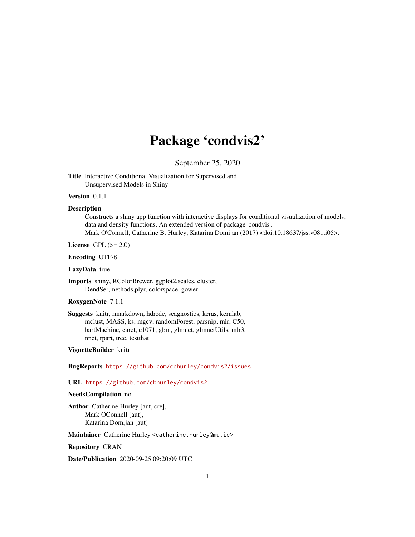# Package 'condvis2'

September 25, 2020

<span id="page-0-0"></span>Title Interactive Conditional Visualization for Supervised and Unsupervised Models in Shiny

#### Version 0.1.1

### **Description**

Constructs a shiny app function with interactive displays for conditional visualization of models, data and density functions. An extended version of package 'condvis'. Mark O'Connell, Catherine B. Hurley, Katarina Domijan (2017) <doi:10.18637/jss.v081.i05>.

License GPL  $(>= 2.0)$ 

Encoding UTF-8

LazyData true

Imports shiny, RColorBrewer, ggplot2,scales, cluster, DendSer,methods,plyr, colorspace, gower

# RoxygenNote 7.1.1

Suggests knitr, rmarkdown, hdrcde, scagnostics, keras, kernlab, mclust, MASS, ks, mgcv, randomForest, parsnip, mlr, C50, bartMachine, caret, e1071, gbm, glmnet, glmnetUtils, mlr3, nnet, rpart, tree, testthat

# VignetteBuilder knitr

BugReports <https://github.com/cbhurley/condvis2/issues>

#### URL <https://github.com/cbhurley/condvis2>

#### NeedsCompilation no

Author Catherine Hurley [aut, cre], Mark OConnell [aut], Katarina Domijan [aut]

Maintainer Catherine Hurley <catherine.hurley@mu.ie>

Repository CRAN

Date/Publication 2020-09-25 09:20:09 UTC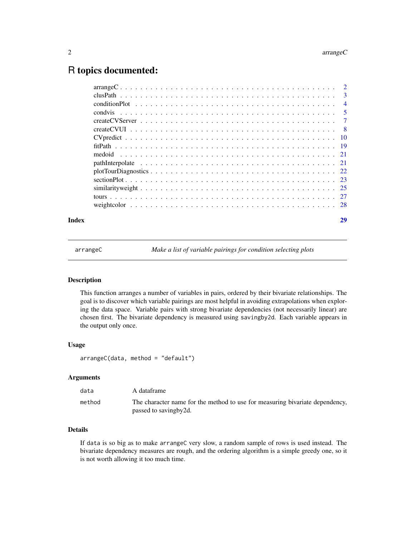# <span id="page-1-0"></span>R topics documented:

| Index | 29 |
|-------|----|
|       |    |
|       |    |
|       |    |
|       |    |
|       |    |
|       |    |
|       |    |
|       |    |
|       |    |
|       |    |
|       |    |
|       |    |
|       |    |
|       |    |
|       |    |

arrangeC *Make a list of variable pairings for condition selecting plots*

# Description

This function arranges a number of variables in pairs, ordered by their bivariate relationships. The goal is to discover which variable pairings are most helpful in avoiding extrapolations when exploring the data space. Variable pairs with strong bivariate dependencies (not necessarily linear) are chosen first. The bivariate dependency is measured using savingby2d. Each variable appears in the output only once.

#### Usage

arrangeC(data, method = "default")

# Arguments

| data   | A dataframe                                                                                             |
|--------|---------------------------------------------------------------------------------------------------------|
| method | The character name for the method to use for measuring bivariate dependency,<br>passed to saving by 2d. |

# Details

If data is so big as to make arrangeC very slow, a random sample of rows is used instead. The bivariate dependency measures are rough, and the ordering algorithm is a simple greedy one, so it is not worth allowing it too much time.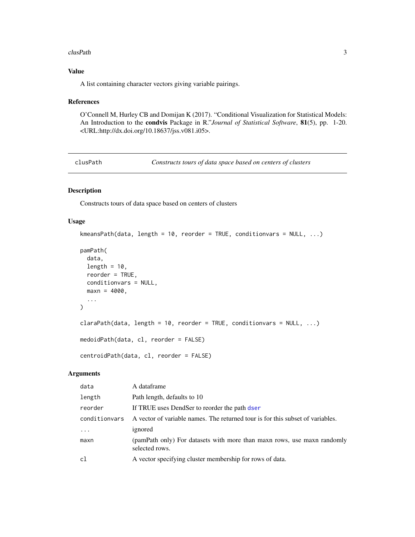#### <span id="page-2-0"></span>clusPath 3

# Value

A list containing character vectors giving variable pairings.

#### References

O'Connell M, Hurley CB and Domijan K (2017). "Conditional Visualization for Statistical Models: An Introduction to the condvis Package in R."*Journal of Statistical Software*, 81(5), pp. 1-20. <URL:http://dx.doi.org/10.18637/jss.v081.i05>.

clusPath *Constructs tours of data space based on centers of clusters*

# Description

Constructs tours of data space based on centers of clusters

# Usage

```
kmeansPath(data, length = 10, reorder = TRUE, conditionvars = NULL, ...)
pamPath(
 data,
 length = 10,
 reorder = TRUE,
 conditionvars = NULL,
 maxn = 4000,...
)
claraPath(data, length = 10, reorder = TRUE, conditionvars = NULL, ...)
medoidPath(data, cl, reorder = FALSE)
centroidPath(data, cl, reorder = FALSE)
```
## Arguments

| data          | A dataframe                                                                               |
|---------------|-------------------------------------------------------------------------------------------|
| length        | Path length, defaults to 10                                                               |
| reorder       | If TRUE uses DendSer to reorder the path dser                                             |
| conditionvars | A vector of variable names. The returned tour is for this subset of variables.            |
| $\ddots$ .    | ignored                                                                                   |
| maxn          | (pamPath only) For datasets with more than maxn rows, use maxn randomly<br>selected rows. |
| c1            | A vector specifying cluster membership for rows of data.                                  |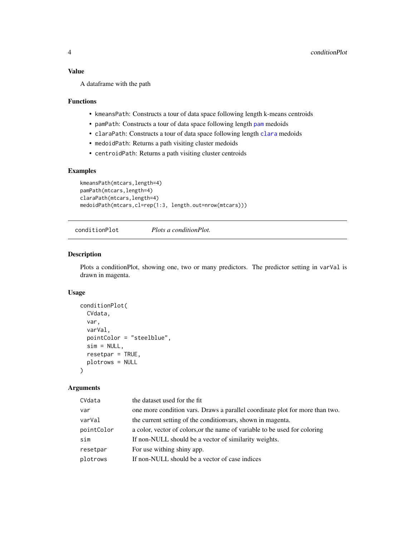### <span id="page-3-0"></span>Value

A dataframe with the path

## Functions

- kmeansPath: Constructs a tour of data space following length k-means centroids
- pamPath: Constructs a tour of data space following length [pam](#page-0-0) medoids
- claraPath: Constructs a tour of data space following length [clara](#page-0-0) medoids
- medoidPath: Returns a path visiting cluster medoids
- centroidPath: Returns a path visiting cluster centroids

#### Examples

```
kmeansPath(mtcars,length=4)
pamPath(mtcars,length=4)
claraPath(mtcars,length=4)
medoidPath(mtcars,cl=rep(1:3, length.out=nrow(mtcars)))
```
conditionPlot *Plots a conditionPlot.*

#### Description

Plots a conditionPlot, showing one, two or many predictors. The predictor setting in varVal is drawn in magenta.

# Usage

```
conditionPlot(
  CVdata,
  var,
  varVal,
  pointColor = "steelblue",
  sim = NULL,
  resetpar = TRUE,
 plotrows = NULL
\lambda
```
#### Arguments

| CVdata     | the dataset used for the fit                                                 |
|------------|------------------------------------------------------------------------------|
| var        | one more condition vars. Draws a parallel coordinate plot for more than two. |
| varVal     | the current setting of the condition ars, shown in magenta.                  |
| pointColor | a color, vector of colors, or the name of variable to be used for coloring   |
| sim        | If non-NULL should be a vector of similarity weights.                        |
| resetpar   | For use withing shiny app.                                                   |
| plotrows   | If non-NULL should be a vector of case indices                               |
|            |                                                                              |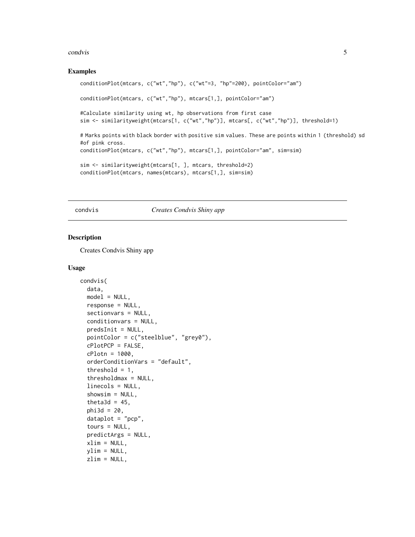#### <span id="page-4-0"></span>condvis 5

#### Examples

```
conditionPlot(mtcars, c("wt","hp"), c("wt"=3, "hp"=200), pointColor="am")
conditionPlot(mtcars, c("wt","hp"), mtcars[1,], pointColor="am")
#Calculate similarity using wt, hp observations from first case
sim <- similarityweight(mtcars[1, c("wt","hp")], mtcars[, c("wt","hp")], threshold=1)
# Marks points with black border with positive sim values. These are points within 1 (threshold) sd
#of pink cross.
conditionPlot(mtcars, c("wt","hp"), mtcars[1,], pointColor="am", sim=sim)
sim <- similarityweight(mtcars[1, ], mtcars, threshold=2)
conditionPlot(mtcars, names(mtcars), mtcars[1,], sim=sim)
```
# condvis *Creates Condvis Shiny app*

### Description

Creates Condvis Shiny app

#### Usage

```
condvis(
  data,
  model = NULL,
  response = NULL,
  sectionvars = NULL,
  conditionvars = NULL,
  predsInit = NULL,
  pointColor = c("steelblue", "grey0"),
  cPlotPCP = FALSE,
  cPlotn = 1000,orderConditionVars = "default",
  threshold = 1,
  thresholdmax = NULL,
  linecols = NULL,
  showsim = NULL,theta3d = 45,
  phi3d = 20,
  dataplot = "pcp".tours = NULL,
  predictArgs = NULL,
  xlim = NULL,ylim = NULL,
  zlim = NULL,
```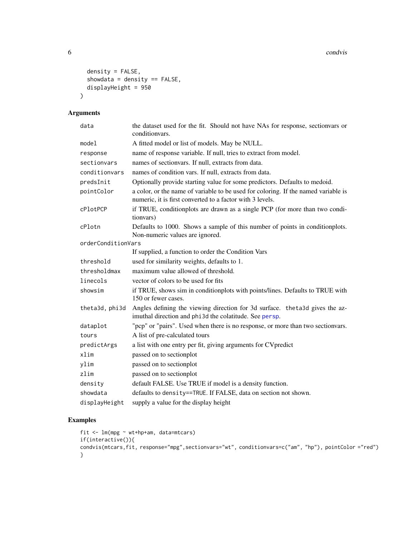6 conduisting the conduity of the conduity of the conduity of the conduity of the conduits of the conduits of the conduits of the conduits of the conduits of the conduits of the conduits of the conduits of the conduits of

```
density = FALSE,showdata = density == FALSE,displayHeight = 950
\mathcal{L}
```
# Arguments

| data               | the dataset used for the fit. Should not have NAs for response, sectionvars or<br>condition vars.                                               |
|--------------------|-------------------------------------------------------------------------------------------------------------------------------------------------|
| mode1              | A fitted model or list of models. May be NULL.                                                                                                  |
| response           | name of response variable. If null, tries to extract from model.                                                                                |
| sectionvars        | names of sectionvars. If null, extracts from data.                                                                                              |
| conditionvars      | names of condition vars. If null, extracts from data.                                                                                           |
| predsInit          | Optionally provide starting value for some predictors. Defaults to medoid.                                                                      |
| pointColor         | a color, or the name of variable to be used for coloring. If the named variable is<br>numeric, it is first converted to a factor with 3 levels. |
| cPlotPCP           | if TRUE, conditionplots are drawn as a single PCP (for more than two condi-<br>tionvars)                                                        |
| cPlotn             | Defaults to 1000. Shows a sample of this number of points in conditionplots.<br>Non-numeric values are ignored.                                 |
| orderConditionVars |                                                                                                                                                 |
|                    | If supplied, a function to order the Condition Vars                                                                                             |
| threshold          | used for similarity weights, defaults to 1.                                                                                                     |
| thresholdmax       | maximum value allowed of threshold.                                                                                                             |
| linecols           | vector of colors to be used for fits                                                                                                            |
| showsim            | if TRUE, shows sim in conditionplots with points/lines. Defaults to TRUE with<br>150 or fewer cases.                                            |
| theta3d, phi3d     | Angles defining the viewing direction for 3d surface. the ta3d gives the az-<br>imuthal direction and phi3d the colatitude. See persp.          |
| dataplot           | "pcp" or "pairs". Used when there is no response, or more than two section ars.                                                                 |
| tours              | A list of pre-calculated tours                                                                                                                  |
| predictArgs        | a list with one entry per fit, giving arguments for CV predict                                                                                  |
| xlim               | passed on to sectionplot                                                                                                                        |
| ylim               | passed on to sectionplot                                                                                                                        |
| zlim               | passed on to sectionplot                                                                                                                        |
| density            | default FALSE. Use TRUE if model is a density function.                                                                                         |
| showdata           | defaults to density==TRUE. If FALSE, data on section not shown.                                                                                 |
| displayHeight      | supply a value for the display height                                                                                                           |

# Examples

```
fit <- lm(mpg ~ wt+hp+am, data=mtcars)
if(interactive()){
condvis(mtcars,fit, response="mpg",sectionvars="wt", conditionvars=c("am", "hp"), pointColor ="red")
}
```
<span id="page-5-0"></span>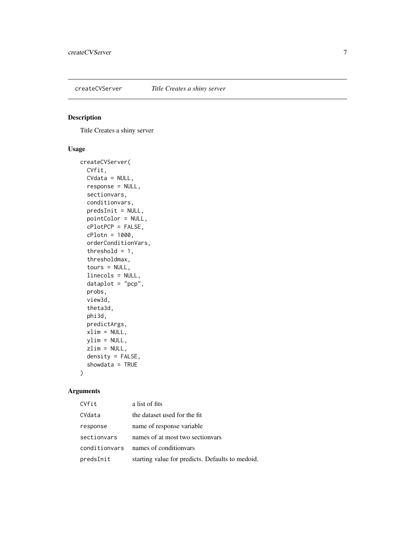<span id="page-6-0"></span>

# Description

Title Creates a shiny server

# Usage

```
createCVServer(
  CVfit,
 CVdata = NULL,
  response = NULL,
  sectionvars,
  conditionvars,
 predsInit = NULL,
  pointColor = NULL,
  cPlotPCP = FALSE,
  cPlotn = 1000,
  orderConditionVars,
  threshold = 1,
  thresholdmax,
  tours = NULL,
  linecols = NULL,
  dataplot = "pcp",probs,
  view3d,
  theta3d,
  phi3d,
 predictArgs,
  xlim = NULL,ylim = NULL,
  zlim = NULL,
  density = FALSE,showdata = TRUE
)
```
# Arguments

| CVfit         | a list of fits                                   |
|---------------|--------------------------------------------------|
| CVdata        | the dataset used for the fit                     |
| response      | name of response variable                        |
| sectionvars   | names of at most two section ars                 |
| conditionvars | names of condition ars                           |
| predsInit     | starting value for predicts. Defaults to medoid. |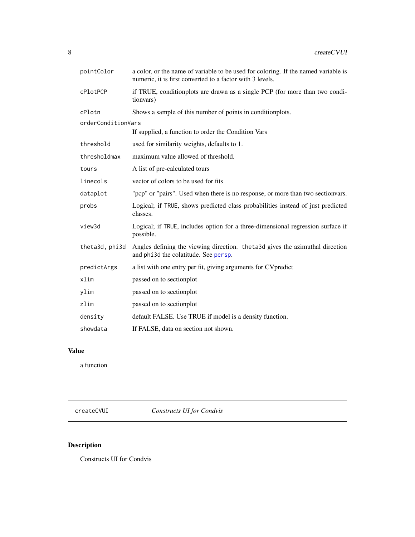<span id="page-7-0"></span>

| pointColor         | a color, or the name of variable to be used for coloring. If the named variable is<br>numeric, it is first converted to a factor with 3 levels. |
|--------------------|-------------------------------------------------------------------------------------------------------------------------------------------------|
| cPlotPCP           | if TRUE, conditionplots are drawn as a single PCP (for more than two condi-<br>tion vars)                                                       |
| cPlotn             | Shows a sample of this number of points in conditionplots.                                                                                      |
| orderConditionVars |                                                                                                                                                 |
|                    | If supplied, a function to order the Condition Vars                                                                                             |
| threshold          | used for similarity weights, defaults to 1.                                                                                                     |
| thresholdmax       | maximum value allowed of threshold.                                                                                                             |
| tours              | A list of pre-calculated tours                                                                                                                  |
| linecols           | vector of colors to be used for fits                                                                                                            |
| dataplot           | "pcp" or "pairs". Used when there is no response, or more than two section vars.                                                                |
| probs              | Logical; if TRUE, shows predicted class probabilities instead of just predicted<br>classes.                                                     |
| view3d             | Logical; if TRUE, includes option for a three-dimensional regression surface if<br>possible.                                                    |
| theta3d, phi3d     | Angles defining the viewing direction. the ta <sub>3</sub> d gives the azimuthal direction<br>and phi3d the colatitude. See persp.              |
| predictArgs        | a list with one entry per fit, giving arguments for CV predict                                                                                  |
| xlim               | passed on to sectionplot                                                                                                                        |
| ylim               | passed on to sectionplot                                                                                                                        |
| zlim               | passed on to sectionplot                                                                                                                        |
| density            | default FALSE. Use TRUE if model is a density function.                                                                                         |
| showdata           | If FALSE, data on section not shown.                                                                                                            |

# Value

a function

createCVUI *Constructs UI for Condvis*

# Description

Constructs UI for Condvis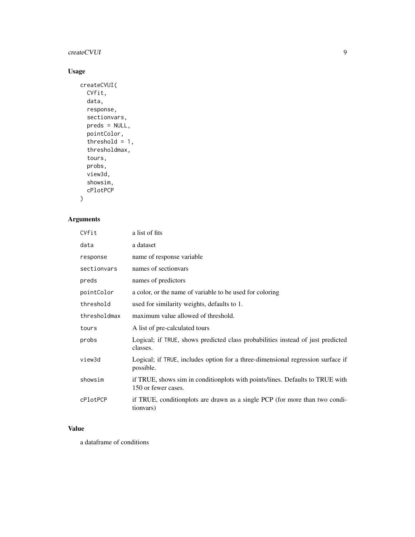# createCVUI 9

# Usage

```
createCVUI(
  CVfit,
  data,
  response,
  sectionvars,
  preds = NULL,
  pointColor,
  threshold = 1,
  thresholdmax,
  tours,
  probs,
  view3d,
  showsim,
  cPlotPCP
\mathcal{L}
```
# Arguments

| CVfit        | a list of fits                                                                                       |
|--------------|------------------------------------------------------------------------------------------------------|
| data         | a dataset                                                                                            |
| response     | name of response variable                                                                            |
| sectionvars  | names of section ars                                                                                 |
| preds        | names of predictors                                                                                  |
| pointColor   | a color, or the name of variable to be used for coloring                                             |
| threshold    | used for similarity weights, defaults to 1.                                                          |
| thresholdmax | maximum value allowed of threshold.                                                                  |
| tours        | A list of pre-calculated tours                                                                       |
| probs        | Logical; if TRUE, shows predicted class probabilities instead of just predicted<br>classes.          |
| view3d       | Logical; if TRUE, includes option for a three-dimensional regression surface if<br>possible.         |
| showsim      | if TRUE, shows sim in conditionplots with points/lines. Defaults to TRUE with<br>150 or fewer cases. |
| cPlotPCP     | if TRUE, conditionplots are drawn as a single PCP (for more than two condi-<br>tion vars)            |

# Value

a dataframe of conditions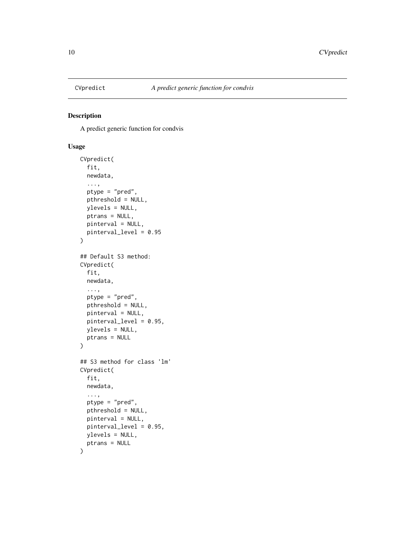<span id="page-9-0"></span>

# Description

A predict generic function for condvis

# Usage

```
CVpredict(
  fit,
  newdata,
  ...,
 ptype = "pred",
 pthreshold = NULL,
 ylevels = NULL,
 ptrans = NULL,
 pinterval = NULL,
 pinterval_level = 0.95
)
## Default S3 method:
CVpredict(
  fit,
  newdata,
  ...,
  ptype = "pred",
 pthreshold = NULL,
 pinterval = NULL,
 pinterval_level = 0.95,
 ylevels = NULL,
 ptrans = NULL
)
## S3 method for class 'lm'
CVpredict(
  fit,
 newdata,
  ...,
 ptype = "pred",
 pthreshold = NULL,
 pinterval = NULL,
 pinterval_level = 0.95,
 ylevels = NULL,
 ptrans = NULL
)
```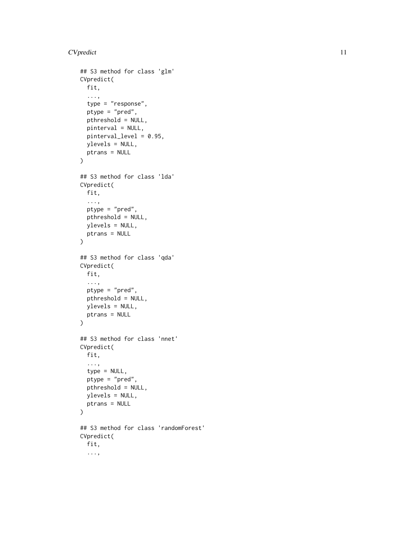```
## S3 method for class 'glm'
CVpredict(
 fit,
  ...,
  type = "response",
  ptype = "pred",
 pthreshold = NULL,
 pinterval = NULL,
 pinterval_level = 0.95,
 ylevels = NULL,
 ptrans = NULL
)
## S3 method for class 'lda'
CVpredict(
 fit,
  ...,
 ptype = "pred",
 pthreshold = NULL,
 ylevels = NULL,
 ptrans = NULL
\lambda## S3 method for class 'qda'
CVpredict(
 fit,
  ...,
 ptype = "pred",
 pthreshold = NULL,
 ylevels = NULL,
 ptrans = NULL
)
## S3 method for class 'nnet'
CVpredict(
 fit,
  ...,
  type = NULL,
  ptype = "pred",
 pthreshold = NULL,
 ylevels = NULL,
 ptrans = NULL
\lambda## S3 method for class 'randomForest'
CVpredict(
  fit,
  ...,
```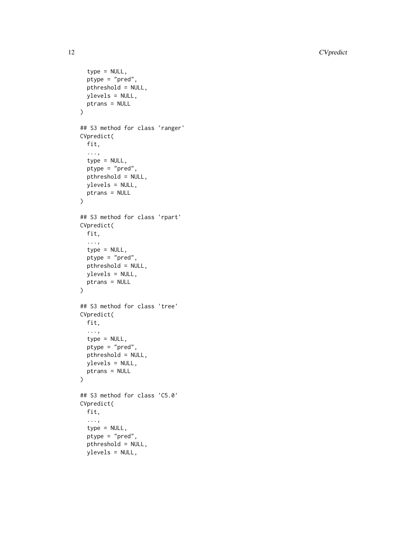```
type = NULL,
  ptype = "pred",
 pthreshold = NULL,
 ylevels = NULL,
 ptrans = NULL
\mathcal{L}## S3 method for class 'ranger'
CVpredict(
 fit,
  ...,
  type = NULL,
 ptype = "pred",
 pthreshold = NULL,
 ylevels = NULL,
 ptrans = NULL
\mathcal{L}## S3 method for class 'rpart'
CVpredict(
 fit,
  ...,
  type = NULL,
 ptype = "pred",
 pthreshold = NULL,
 ylevels = NULL,
 ptrans = NULL
)
## S3 method for class 'tree'
CVpredict(
 fit,
  ...,
  type = NULL,
 ptype = "pred",
 pthreshold = NULL,
 ylevels = NULL,
 ptrans = NULL
\lambda## S3 method for class 'C5.0'
CVpredict(
  fit,
  ...,
  type = NULL,
  ptype = "pred",
 pthreshold = NULL,
 ylevels = NULL,
```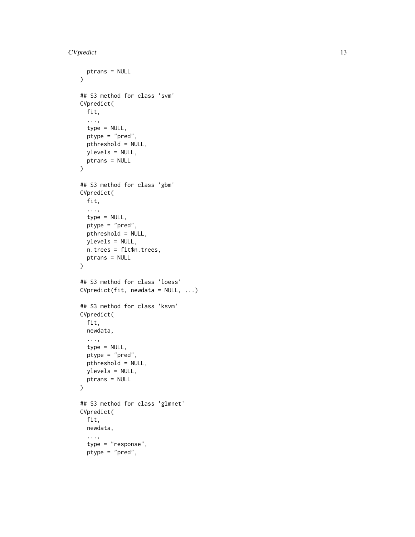```
ptrans = NULL
\lambda## S3 method for class 'svm'
CVpredict(
 fit,
  ...,
  type = NULL,
  ptype = "pred",
 pthreshold = NULL,
 ylevels = NULL,
 ptrans = NULL
)
## S3 method for class 'gbm'
CVpredict(
 fit,
  ...,
  type = NULL,
 ptype = "pred",
 pthreshold = NULL,
 ylevels = NULL,
 n.trees = fit$n.trees,
 ptrans = NULL
)
## S3 method for class 'loess'
CVpredict(fit, newdata = NULL, ...)
## S3 method for class 'ksvm'
CVpredict(
 fit,
 newdata,
  ...,
  type = NULL,
 ptype = "pred",
 pthreshold = NULL,
 ylevels = NULL,
 ptrans = NULL
\mathcal{L}## S3 method for class 'glmnet'
CVpredict(
 fit,
 newdata,
  ...,
  type = "response",
  ptype = "pred",
```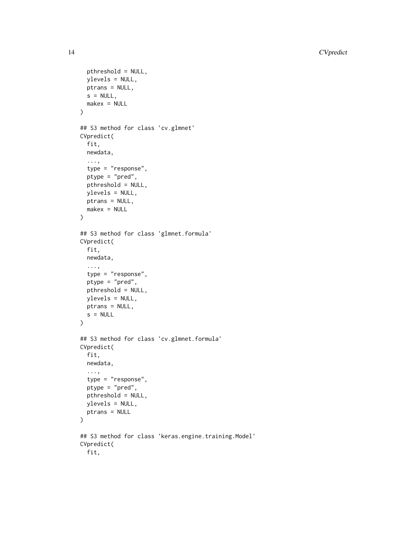```
pthreshold = NULL,
 ylevels = NULL,
 ptrans = NULL,
 s = NULL,makex = NULL)
## S3 method for class 'cv.glmnet'
CVpredict(
  fit,
 newdata,
  ...,
  type = "response",
  ptype = "pred",
 pthreshold = NULL,
 ylevels = NULL,
 ptrans = NULL,
 makex = NULL
\lambda## S3 method for class 'glmnet.formula'
CVpredict(
 fit,
 newdata,
  ...,
  type = "response",
 ptype = "pred",
 pthreshold = NULL,
 ylevels = NULL,
 ptrans = NULL,
 s = NULL\mathcal{L}## S3 method for class 'cv.glmnet.formula'
CVpredict(
  fit,
 newdata,
  ...,
  type = "response",
 ptype = "pred",
 pthreshold = NULL,
 ylevels = NULL,
 ptrans = NULL
)
## S3 method for class 'keras.engine.training.Model'
CVpredict(
 fit,
```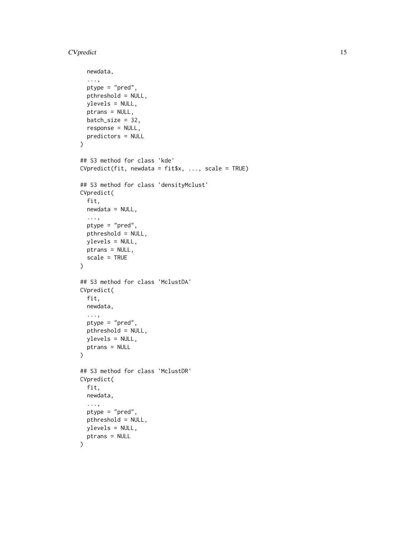```
newdata,
  ...,
 ptype = "pred",
 pthreshold = NULL,
 ylevels = NULL,
 ptrans = NULL,
 batch_size = 32,response = NULL,
 predictors = NULL
\mathcal{L}## S3 method for class 'kde'
CVpredict(fit, newdata = fit$x, ..., scale = TRUE)
## S3 method for class 'densityMclust'
CVpredict(
  fit,
 newdata = NULL,
  ...,
 ptype = "pred",
 pthreshold = NULL,
 ylevels = NULL,
 ptrans = NULL,
  scale = TRUE
)
## S3 method for class 'MclustDA'
CVpredict(
  fit,
 newdata,
  ...,
 ptype = "pred",
 pthreshold = NULL,
 ylevels = NULL,
 ptrans = NULL
\mathcal{L}## S3 method for class 'MclustDR'
CVpredict(
 fit,
 newdata,
  ...,
 ptype = "pred",
 pthreshold = NULL,
 ylevels = NULL,
 ptrans = NULL
)
```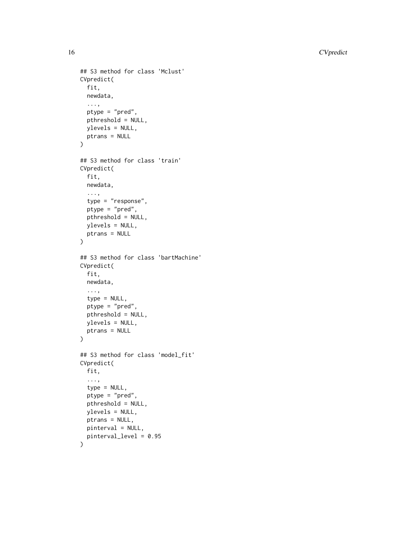```
## S3 method for class 'Mclust'
CVpredict(
  fit,
 newdata,
  ...,
 ptype = "pred",
 pthreshold = NULL,
 ylevels = NULL,
 ptrans = NULL
\mathcal{L}## S3 method for class 'train'
CVpredict(
 fit,
 newdata,
  ...,
  type = "response",
 ptype = "pred",
 pthreshold = NULL,
 ylevels = NULL,
 ptrans = NULL
)
## S3 method for class 'bartMachine'
CVpredict(
  fit,
  newdata,
  ...,
  type = NULL,
 ptype = "pred",
 pthreshold = NULL,
 ylevels = NULL,
 ptrans = NULL
\lambda## S3 method for class 'model_fit'
CVpredict(
 fit,
  ...,
  type = NULL,
 ptype = "pred",
 pthreshold = NULL,
 ylevels = NULL,
 ptrans = NULL,
 pinterval = NULL,
 pinterval_level = 0.95
```

```
)
```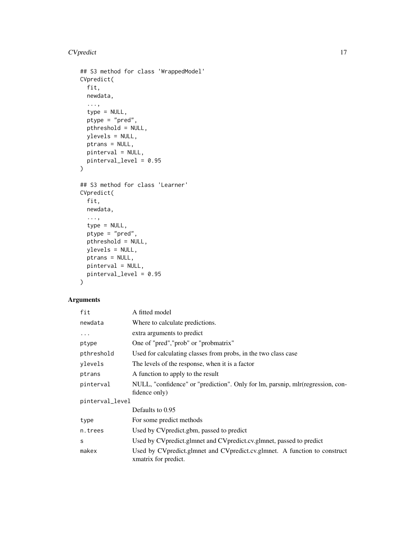```
## S3 method for class 'WrappedModel'
CVpredict(
 fit,
 newdata,
  ...,
  type = NULL,
 ptype = "pred",
 pthreshold = NULL,
 ylevels = NULL,
 ptrans = NULL,
 pinterval = NULL,
 pinterval_level = 0.95
)
## S3 method for class 'Learner'
CVpredict(
 fit,
 newdata,
  ...,
  type = NULL,
 ptype = "pred",
 pthreshold = NULL,
 ylevels = NULL,
 ptrans = NULL,
 pinterval = NULL,
 pinterval_level = 0.95
\mathcal{L}
```
# Arguments

| fit             | A fitted model                                                                                      |  |
|-----------------|-----------------------------------------------------------------------------------------------------|--|
| newdata         | Where to calculate predictions.                                                                     |  |
| $\ddotsc$       | extra arguments to predict                                                                          |  |
| ptype           | One of "pred", "prob" or "probmatrix"                                                               |  |
| pthreshold      | Used for calculating classes from probs, in the two class case                                      |  |
| ylevels         | The levels of the response, when it is a factor                                                     |  |
| ptrans          | A function to apply to the result                                                                   |  |
| pinterval       | NULL, "confidence" or "prediction". Only for lm, parsnip, mlr(regression, con-<br>fidence only)     |  |
| pinterval_level |                                                                                                     |  |
|                 | Defaults to 0.95                                                                                    |  |
| type            | For some predict methods                                                                            |  |
| n.trees         | Used by CV predict.gbm, passed to predict                                                           |  |
| S               | Used by CV predict.glmnet and CV predict.cv.glmnet, passed to predict                               |  |
| makex           | Used by CV predict.glmnet and CV predict.cv.glmnet. A function to construct<br>xmatrix for predict. |  |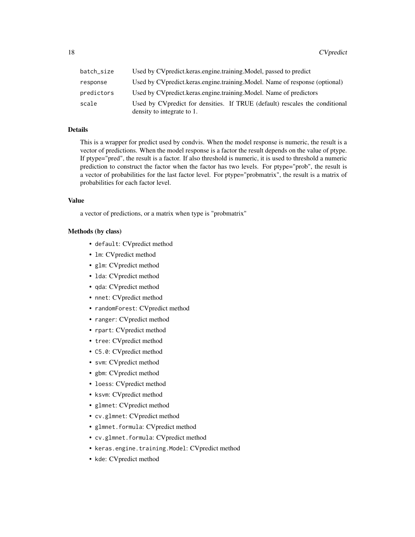| batch_size | Used by CV predict.keras.engine.training.Model, passed to predict                                          |
|------------|------------------------------------------------------------------------------------------------------------|
| response   | Used by CV predict. keras.engine.training. Model. Name of response (optional)                              |
| predictors | Used by CV predict.keras.engine.training.Model. Name of predictors                                         |
| scale      | Used by CV predict for densities. If TRUE (default) rescales the conditional<br>density to integrate to 1. |

#### Details

This is a wrapper for predict used by condvis. When the model response is numeric, the result is a vector of predictions. When the model response is a factor the result depends on the value of ptype. If ptype="pred", the result is a factor. If also threshold is numeric, it is used to threshold a numeric prediction to construct the factor when the factor has two levels. For ptype="prob", the result is a vector of probabilities for the last factor level. For ptype="probmatrix", the result is a matrix of probabilities for each factor level.

# Value

a vector of predictions, or a matrix when type is "probmatrix"

## Methods (by class)

- default: CVpredict method
- lm: CVpredict method
- glm: CVpredict method
- lda: CVpredict method
- qda: CVpredict method
- nnet: CVpredict method
- randomForest: CVpredict method
- ranger: CVpredict method
- rpart: CVpredict method
- tree: CVpredict method
- C5.0: CVpredict method
- svm: CVpredict method
- gbm: CVpredict method
- loess: CVpredict method
- ksvm: CVpredict method
- glmnet: CVpredict method
- cv.glmnet: CVpredict method
- glmnet.formula: CVpredict method
- cv.glmnet.formula: CVpredict method
- keras.engine.training.Model: CVpredict method
- kde: CVpredict method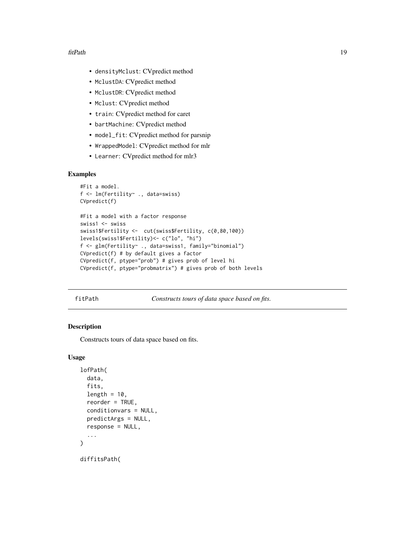#### <span id="page-18-0"></span>fitPath 19

- densityMclust: CVpredict method
- MclustDA: CVpredict method
- MclustDR: CVpredict method
- Mclust: CVpredict method
- train: CVpredict method for caret
- bartMachine: CVpredict method
- model\_fit: CVpredict method for parsnip
- WrappedModel: CVpredict method for mlr
- Learner: CVpredict method for mlr3

#### Examples

```
#Fit a model.
f <- lm(Fertility~ ., data=swiss)
CVpredict(f)
#Fit a model with a factor response
swiss1 <- swiss
swiss1$Fertility <- cut(swiss$Fertility, c(0,80,100))
levels(swiss1$Fertility)<- c("lo", "hi")
f <- glm(Fertility~ ., data=swiss1, family="binomial")
CVpredict(f) # by default gives a factor
CVpredict(f, ptype="prob") # gives prob of level hi
CVpredict(f, ptype="probmatrix") # gives prob of both levels
```
fitPath *Constructs tours of data space based on fits.*

# Description

Constructs tours of data space based on fits.

## Usage

```
lofPath(
  data,
  fits,
  length = 10,
  reorder = TRUE,conditionvars = NULL,
  predictArgs = NULL,
  response = NULL,
  ...
)
diffitsPath(
```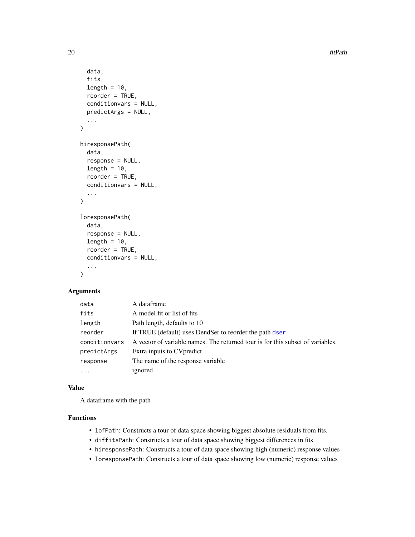$20$  fitPath

```
data,
  fits,
  length = 10,
  reorder = TRUE,
  conditionvars = NULL,
  predictArgs = NULL,
  ...
\mathcal{L}hiresponsePath(
  data,
  response = NULL,
  length = 10,
  reorder = TRUE,conditionvars = NULL,
  ...
)
loresponsePath(
  data,
  response = NULL,
  length = 10,
  reorder = TRUE,
  conditionvars = NULL,
  ...
\mathcal{L}
```
# Arguments

| data          | A dataframe                                                                    |
|---------------|--------------------------------------------------------------------------------|
| fits          | A model fit or list of fits                                                    |
| length        | Path length, defaults to 10                                                    |
| reorder       | If TRUE (default) uses DendSer to reorder the path dser                        |
| conditionvars | A vector of variable names. The returned tour is for this subset of variables. |
| predictArgs   | Extra inputs to CV predict                                                     |
| response      | The name of the response variable.                                             |
| $\ddotsc$     | ignored                                                                        |

# Value

A dataframe with the path

# Functions

- lofPath: Constructs a tour of data space showing biggest absolute residuals from fits.
- diffitsPath: Constructs a tour of data space showing biggest differences in fits.
- hiresponsePath: Constructs a tour of data space showing high (numeric) response values
- loresponsePath: Constructs a tour of data space showing low (numeric) response values

<span id="page-19-0"></span>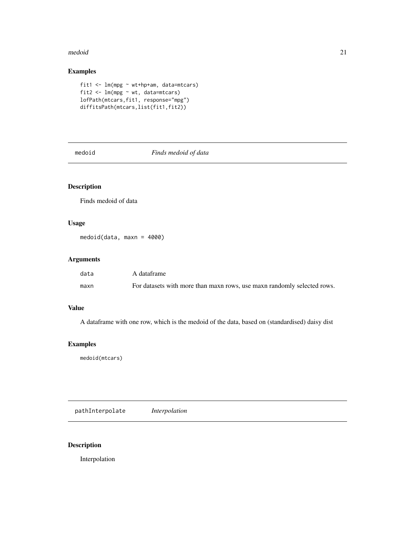#### <span id="page-20-0"></span>medoid 21

# Examples

```
fit1 <- lm(mpg ~ wt+hp+am, data=mtcars)
fit2 \leftarrow lm(mpg \sim wt, data=mtcars)
lofPath(mtcars,fit1, response="mpg")
diffitsPath(mtcars,list(fit1,fit2))
```
medoid *Finds medoid of data*

# Description

Finds medoid of data

# Usage

medoid(data, maxn = 4000)

# Arguments

| data | A dataframe                                                             |
|------|-------------------------------------------------------------------------|
| maxn | For datasets with more than maxn rows, use maxn randomly selected rows. |

# Value

A dataframe with one row, which is the medoid of the data, based on (standardised) daisy dist

# Examples

medoid(mtcars)

pathInterpolate *Interpolation*

# Description

Interpolation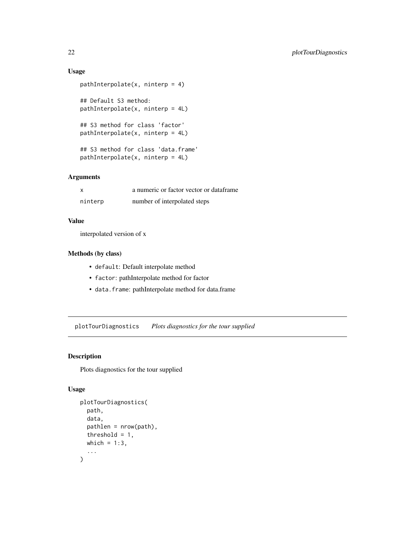# Usage

```
pathInterpolate(x, ninterp = 4)
## Default S3 method:
pathInterpolate(x, ninterp = 4L)
## S3 method for class 'factor'
pathInterpolate(x, ninterp = 4L)
## S3 method for class 'data.frame'
pathInterpolate(x, ninterp = 4L)
```
# Arguments

|         | a numeric or factor vector or dataframe |
|---------|-----------------------------------------|
| ninterp | number of interpolated steps            |

# Value

interpolated version of x

# Methods (by class)

- default: Default interpolate method
- factor: pathInterpolate method for factor
- data.frame: pathInterpolate method for data.frame

plotTourDiagnostics *Plots diagnostics for the tour supplied*

# Description

Plots diagnostics for the tour supplied

# Usage

```
plotTourDiagnostics(
  path,
  data,
  pathlen = nrow(path),
  threshold = 1,
  which = 1:3,
  ...
\mathcal{E}
```
<span id="page-21-0"></span>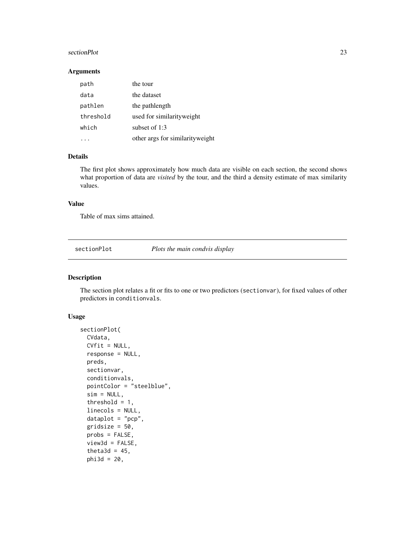#### <span id="page-22-0"></span>sectionPlot 23

#### Arguments

| path      | the tour                        |
|-----------|---------------------------------|
| data      | the dataset                     |
| pathlen   | the pathlength                  |
| threshold | used for similarity weight      |
| which     | subset of $1:3$                 |
|           | other args for similarityweight |

# Details

The first plot shows approximately how much data are visible on each section, the second shows what proportion of data are *visited* by the tour, and the third a density estimate of max similarity values.

#### Value

Table of max sims attained.

sectionPlot *Plots the main condvis display*

#### Description

The section plot relates a fit or fits to one or two predictors (sectionvar), for fixed values of other predictors in conditionvals.

# Usage

```
sectionPlot(
 CVdata,
  CVfit = NULL,response = NULL,
 preds,
  sectionvar,
  conditionvals,
  pointColor = "steelblue",
  sim = NULL,threshold = 1,
  linecols = NULL,
  dataplot = "pcp",gridsize = 50,
  probs = FALSE,
  view3d = FALSE,theta3d = 45,
  phi3d = 20,
```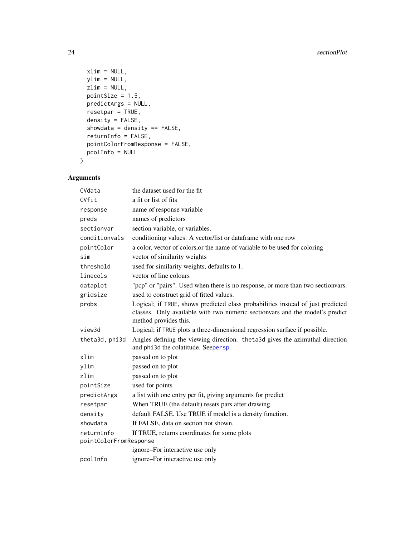```
xlim = NULL,ylim = NULL,
 zlim = NULL,pointSize = 1.5,
 predictArgs = NULL,
 resetpar = TRUE,
 density = FALSE,
  showdata = density == FALSE,returnInfo = FALSE,
 pointColorFromResponse = FALSE,
 pcolInfo = NULL
\mathcal{L}
```
# Arguments

| CVdata                 | the dataset used for the fit                                                                                                                                                             |  |
|------------------------|------------------------------------------------------------------------------------------------------------------------------------------------------------------------------------------|--|
| CVfit                  | a fit or list of fits                                                                                                                                                                    |  |
| response               | name of response variable                                                                                                                                                                |  |
| preds                  | names of predictors                                                                                                                                                                      |  |
| sectionvar             | section variable, or variables.                                                                                                                                                          |  |
| conditionvals          | conditioning values. A vector/list or dataframe with one row                                                                                                                             |  |
| pointColor             | a color, vector of colors, or the name of variable to be used for coloring                                                                                                               |  |
| sim                    | vector of similarity weights                                                                                                                                                             |  |
| threshold              | used for similarity weights, defaults to 1.                                                                                                                                              |  |
| linecols               | vector of line colours                                                                                                                                                                   |  |
| dataplot               | "pcp" or "pairs". Used when there is no response, or more than two sectionvars.                                                                                                          |  |
| gridsize               | used to construct grid of fitted values.                                                                                                                                                 |  |
| probs                  | Logical; if TRUE, shows predicted class probabilities instead of just predicted<br>classes. Only available with two numeric section ars and the model's predict<br>method provides this. |  |
| view3d                 | Logical; if TRUE plots a three-dimensional regression surface if possible.                                                                                                               |  |
| theta3d, phi3d         | Angles defining the viewing direction. theta3d gives the azimuthal direction<br>and phi3d the colatitude. Seepersp.                                                                      |  |
| xlim                   | passed on to plot                                                                                                                                                                        |  |
| ylim                   | passed on to plot                                                                                                                                                                        |  |
| zlim                   | passed on to plot                                                                                                                                                                        |  |
| pointSize              | used for points                                                                                                                                                                          |  |
| predictArgs            | a list with one entry per fit, giving arguments for predict                                                                                                                              |  |
| resetpar               | When TRUE (the default) resets pars after drawing.                                                                                                                                       |  |
| density                | default FALSE. Use TRUE if model is a density function.                                                                                                                                  |  |
| showdata               | If FALSE, data on section not shown.                                                                                                                                                     |  |
| returnInfo             | If TRUE, returns coordinates for some plots                                                                                                                                              |  |
| pointColorFromResponse |                                                                                                                                                                                          |  |
|                        | ignore-For interactive use only                                                                                                                                                          |  |
| pcolInfo               | ignore–For interactive use only                                                                                                                                                          |  |

<span id="page-23-0"></span>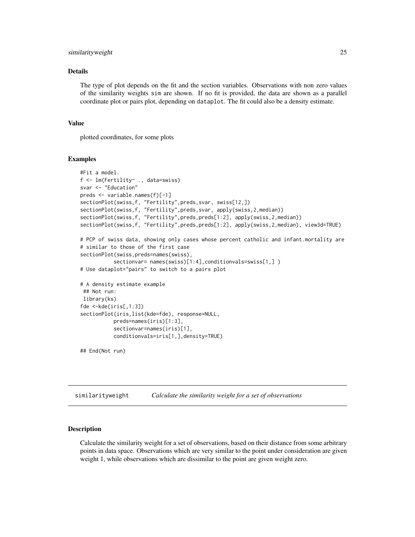#### <span id="page-24-0"></span>similarityweight 25

#### Details

The type of plot depends on the fit and the section variables. Observations with non zero values of the similarity weights sim are shown. If no fit is provided, the data are shown as a parallel coordinate plot or pairs plot, depending on dataplot. The fit could also be a density estimate.

#### Value

plotted coordinates, for some plots

#### Examples

```
#Fit a model.
f <- lm(Fertility~ ., data=swiss)
svar <- "Education"
preds <- variable.names(f)[-1]
sectionPlot(swiss,f, "Fertility",preds,svar, swiss[12,])
sectionPlot(swiss,f, "Fertility",preds,svar, apply(swiss,2,median))
sectionPlot(swiss,f, "Fertility",preds,preds[1:2], apply(swiss,2,median))
sectionPlot(swiss,f, "Fertility",preds,preds[1:2], apply(swiss,2,median), view3d=TRUE)
# PCP of swiss data, showing only cases whose percent catholic and infant.mortality are
# similar to those of the first case
sectionPlot(swiss,preds=names(swiss),
           sectionvar= names(swiss)[1:4],conditionvals=swiss[1,])
# Use dataplot="pairs" to switch to a pairs plot
# A density estimate example
## Not run:
library(ks)
fde <-kde(iris[,1:3])
sectionPlot(iris,list(kde=fde), response=NULL,
           preds=names(iris)[1:3],
           sectionvar=names(iris)[1],
           conditionvals=iris[1,],density=TRUE)
## End(Not run)
```
similarityweight *Calculate the similarity weight for a set of observations*

#### Description

Calculate the similarity weight for a set of observations, based on their distance from some arbitrary points in data space. Observations which are very similar to the point under consideration are given weight 1, while observations which are dissimilar to the point are given weight zero.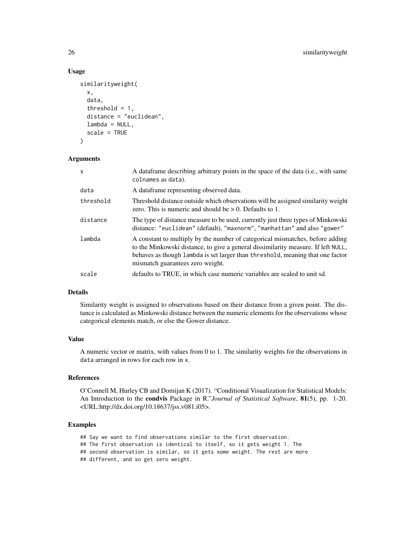#### Usage

```
similarityweight(
 x,
  data,
  threshold = 1,
 distance = "euclidean",
 lambda = NULL,scale = TRUE
\lambda
```
#### **Arguments**

| X         | A dataframe describing arbitrary points in the space of the data (i.e., with same<br>colnames as data).                                                                                                                                                                                  |
|-----------|------------------------------------------------------------------------------------------------------------------------------------------------------------------------------------------------------------------------------------------------------------------------------------------|
| data      | A dataframe representing observed data.                                                                                                                                                                                                                                                  |
| threshold | Threshold distance outside which observations will be assigned similarity weight<br>zero. This is numeric and should be $> 0$ . Defaults to 1.                                                                                                                                           |
| distance  | The type of distance measure to be used, currently just three types of Minkowski<br>distance: "euclidean" (default), "maxnorm", "manhattan" and also "gower"                                                                                                                             |
| lambda    | A constant to multiply by the number of categorical mismatches, before adding<br>to the Minkowski distance, to give a general dissimilarity measure. If left NULL,<br>behaves as though lambda is set larger than threshold, meaning that one factor<br>mismatch guarantees zero weight. |
| scale     | defaults to TRUE, in which case numeric variables are scaled to unit sd.                                                                                                                                                                                                                 |

# Details

Similarity weight is assigned to observations based on their distance from a given point. The distance is calculated as Minkowski distance between the numeric elements for the observations whose categorical elements match, or else the Gower distance.

### Value

A numeric vector or matrix, with values from 0 to 1. The similarity weights for the observations in data arranged in rows for each row in x.

# References

O'Connell M, Hurley CB and Domijan K (2017). "Conditional Visualization for Statistical Models: An Introduction to the condvis Package in R."*Journal of Statistical Software*, 81(5), pp. 1-20. <URL:http://dx.doi.org/10.18637/jss.v081.i05>.

# Examples

## Say we want to find observations similar to the first observation.

- ## The first observation is identical to itself, so it gets weight 1. The
- ## second observation is similar, so it gets some weight. The rest are more

## different, and so get zero weight.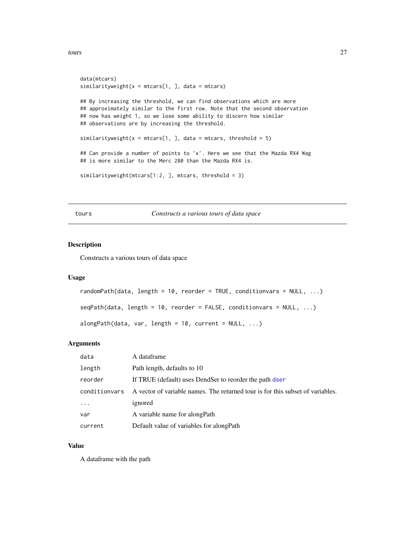```
data(mtcars)
similarityweight(x = m\text{tcars}[1, ], data = mtcars)
## By increasing the threshold, we can find observations which are more
## approximately similar to the first row. Note that the second observation
## now has weight 1, so we lose some ability to discern how similar
## observations are by increasing the threshold.
similarityweight(x = m\text{tcars}[1, ], data = mtcars, threshold = 5)
## Can provide a number of points to 'x'. Here we see that the Mazda RX4 Wag
## is more similar to the Merc 280 than the Mazda RX4 is.
similarityweight(mtcars[1:2, ], mtcars, threshold = 3)
```
tours *Constructs a various tours of data space*

#### Description

Constructs a various tours of data space

#### Usage

```
randomPath(data, length = 10, reorder = TRUE, conditionvars = NULL, ...)
```
 $seqPath(data, length = 10, reorder = FALSE, conditionvars = NULL, ...)$ 

alongPath(data, var, length =  $10$ , current = NULL, ...)

#### Arguments

| data          | A dataframe                                                                    |
|---------------|--------------------------------------------------------------------------------|
| length        | Path length, defaults to 10                                                    |
| reorder       | If TRUE (default) uses DendSer to reorder the path dser                        |
| conditionvars | A vector of variable names. The returned tour is for this subset of variables. |
| .             | ignored                                                                        |
| var           | A variable name for along Path                                                 |
| current       | Default value of variables for along Path                                      |

#### Value

A dataframe with the path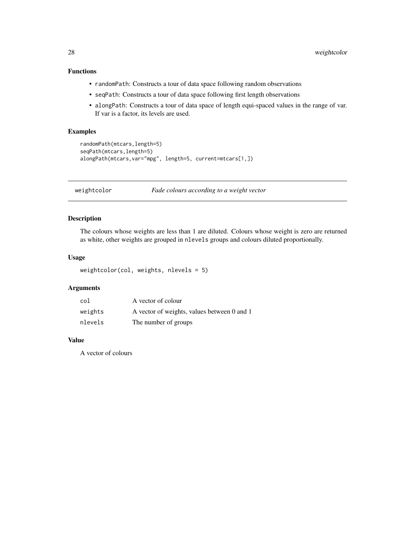# <span id="page-27-0"></span>Functions

- randomPath: Constructs a tour of data space following random observations
- seqPath: Constructs a tour of data space following first length observations
- alongPath: Constructs a tour of data space of length equi-spaced values in the range of var. If var is a factor, its levels are used.

# Examples

```
randomPath(mtcars,length=5)
seqPath(mtcars,length=5)
alongPath(mtcars,var="mpg", length=5, current=mtcars[1,])
```
weightcolor *Fade colours according to a weight vector*

# Description

The colours whose weights are less than 1 are diluted. Colours whose weight is zero are returned as white, other weights are grouped in nlevels groups and colours diluted proportionally.

# Usage

```
weightcolor(col, weights, nlevels = 5)
```
# Arguments

| col     | A vector of colour                          |
|---------|---------------------------------------------|
| weights | A vector of weights, values between 0 and 1 |
| nlevels | The number of groups                        |

#### Value

A vector of colours